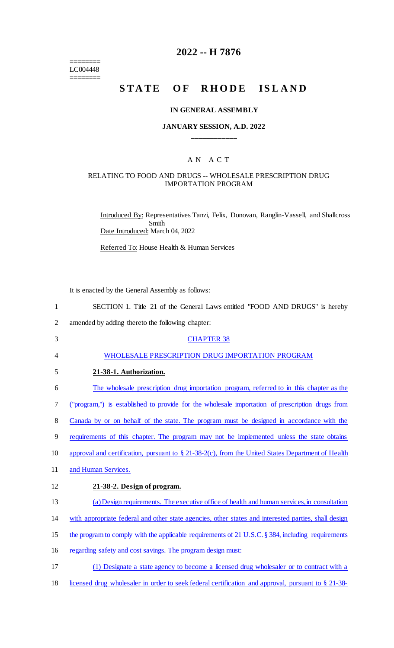$=$ LC004448

 $=$ 

## **2022 -- H 7876**

# **STATE OF RHODE ISLAND**

#### **IN GENERAL ASSEMBLY**

### **JANUARY SESSION, A.D. 2022 \_\_\_\_\_\_\_\_\_\_\_\_**

### A N A C T

#### RELATING TO FOOD AND DRUGS -- WHOLESALE PRESCRIPTION DRUG IMPORTATION PROGRAM

Introduced By: Representatives Tanzi, Felix, Donovan, Ranglin-Vassell, and Shallcross Smith Date Introduced: March 04, 2022

Referred To: House Health & Human Services

It is enacted by the General Assembly as follows:

| $\mathbf{1}$   | SECTION 1. Title 21 of the General Laws entitled "FOOD AND DRUGS" is hereby                          |
|----------------|------------------------------------------------------------------------------------------------------|
| $\overline{2}$ | amended by adding thereto the following chapter:                                                     |
| 3              | <b>CHAPTER 38</b>                                                                                    |
| 4              | WHOLESALE PRESCRIPTION DRUG IMPORTATION PROGRAM                                                      |
| 5              | 21-38-1. Authorization.                                                                              |
| 6              | The wholesale prescription drug importation program, referred to in this chapter as the              |
| 7              | ("program,") is established to provide for the wholesale importation of prescription drugs from      |
| 8              | Canada by or on behalf of the state. The program must be designed in accordance with the             |
| 9              | requirements of this chapter. The program may not be implemented unless the state obtains            |
| 10             | approval and certification, pursuant to § 21-38-2(c), from the United States Department of Health    |
| 11             | and Human Services.                                                                                  |
| 12             | 21-38-2. Design of program.                                                                          |
| 13             | (a) Design requirements. The executive office of health and human services, in consultation          |
| 14             | with appropriate federal and other state agencies, other states and interested parties, shall design |
| 15             | the program to comply with the applicable requirements of 21 U.S.C. § 384, including requirements    |
| 16             | regarding safety and cost savings. The program design must:                                          |
| 17             | (1) Designate a state agency to become a licensed drug wholesaler or to contract with a              |
|                |                                                                                                      |

18 licensed drug wholesaler in order to seek federal certification and approval, pursuant to § 21-38-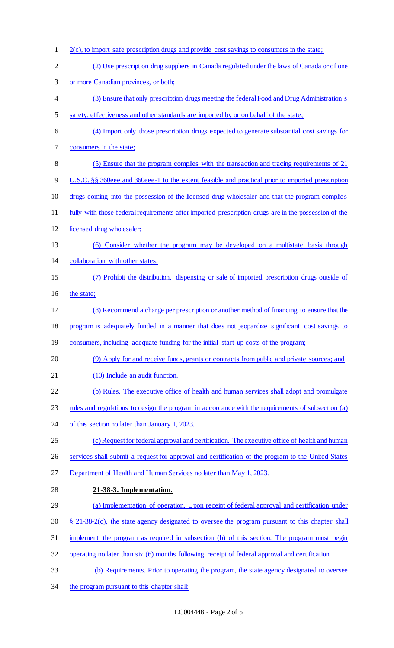2(c), to import safe prescription drugs and provide cost savings to consumers in the state; (2) Use prescription drug suppliers in Canada regulated under the laws of Canada or of one or more Canadian provinces, or both; (3) Ensure that only prescription drugs meeting the federal Food and Drug Administration's safety, effectiveness and other standards are imported by or on behalf of the state; (4) Import only those prescription drugs expected to generate substantial cost savings for consumers in the state; (5) Ensure that the program complies with the transaction and tracing requirements of 21 U.S.C. §§ 360eee and 360eee-1 to the extent feasible and practical prior to imported prescription drugs coming into the possession of the licensed drug wholesaler and that the program complies fully with those federal requirements after imported prescription drugs are in the possession of the licensed drug wholesaler; (6) Consider whether the program may be developed on a multistate basis through collaboration with other states; (7) Prohibit the distribution, dispensing or sale of imported prescription drugs outside of 16 the state; (8) Recommend a charge per prescription or another method of financing to ensure that the program is adequately funded in a manner that does not jeopardize significant cost savings to 19 consumers, including adequate funding for the initial start-up costs of the program; (9) Apply for and receive funds, grants or contracts from public and private sources; and 21 (10) Include an audit function. (b) Rules. The executive office of health and human services shall adopt and promulgate rules and regulations to design the program in accordance with the requirements of subsection (a) of this section no later than January 1, 2023. 25 (c) Request for federal approval and certification. The executive office of health and human services shall submit a request for approval and certification of the program to the United States Department of Health and Human Services no later than May 1, 2023. **21-38-3. Implementation.**  (a) Implementation of operation. Upon receipt of federal approval and certification under § 21-38-2(c), the state agency designated to oversee the program pursuant to this chapter shall implement the program as required in subsection (b) of this section. The program must begin operating no later than six (6) months following receipt of federal approval and certification. (b) Requirements. Prior to operating the program, the state agency designated to oversee 34 the program pursuant to this chapter shall: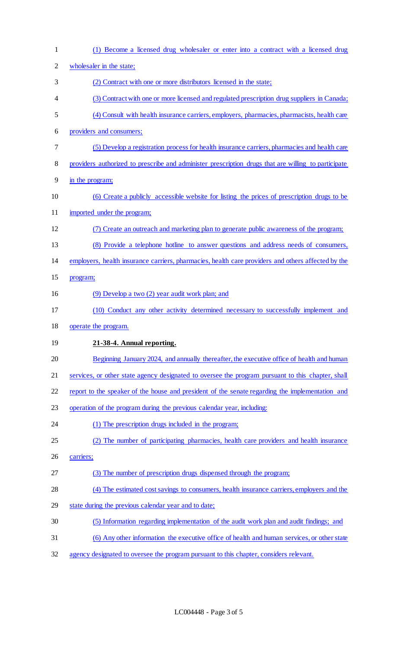| $\mathbf{1}$   | (1) Become a licensed drug wholesaler or enter into a contract with a licensed drug                 |
|----------------|-----------------------------------------------------------------------------------------------------|
| $\overline{c}$ | wholesaler in the state;                                                                            |
| 3              | (2) Contract with one or more distributors licensed in the state;                                   |
| 4              | (3) Contract with one or more licensed and regulated prescription drug suppliers in Canada;         |
| 5              | (4) Consult with health insurance carriers, employers, pharmacies, pharmacists, health care         |
| 6              | providers and consumers;                                                                            |
| 7              | (5) Develop a registration process for health insurance carriers, pharmacies and health care        |
| 8              | providers authorized to prescribe and administer prescription drugs that are willing to participate |
| 9              | in the program;                                                                                     |
| 10             | (6) Create a publicly accessible website for listing the prices of prescription drugs to be         |
| 11             | imported under the program;                                                                         |
| 12             | (7) Create an outreach and marketing plan to generate public awareness of the program;              |
| 13             | (8) Provide a telephone hotline to answer questions and address needs of consumers,                 |
| 14             | employers, health insurance carriers, pharmacies, health care providers and others affected by the  |
| 15             | program;                                                                                            |
| 16             | (9) Develop a two (2) year audit work plan; and                                                     |
| 17             | (10) Conduct any other activity determined necessary to successfully implement and                  |
| 18             | operate the program.                                                                                |
| 19             | 21-38-4. Annual reporting.                                                                          |
| 20             | Beginning January 2024, and annually thereafter, the executive office of health and human           |
| 21             | services, or other state agency designated to oversee the program pursuant to this chapter, shall   |
| 22             | report to the speaker of the house and president of the senate regarding the implementation and     |
| 23             | operation of the program during the previous calendar year, including:                              |
| 24             | (1) The prescription drugs included in the program;                                                 |
| 25             | (2) The number of participating pharmacies, health care providers and health insurance              |
| 26             | carriers;                                                                                           |
| 27             | (3) The number of prescription drugs dispensed through the program;                                 |
| 28             | (4) The estimated cost savings to consumers, health insurance carriers, employers and the           |
| 29             | state during the previous calendar year and to date;                                                |
| 30             | (5) Information regarding implementation of the audit work plan and audit findings; and             |
| 31             | (6) Any other information the executive office of health and human services, or other state         |
| 32             | agency designated to oversee the program pursuant to this chapter, considers relevant.              |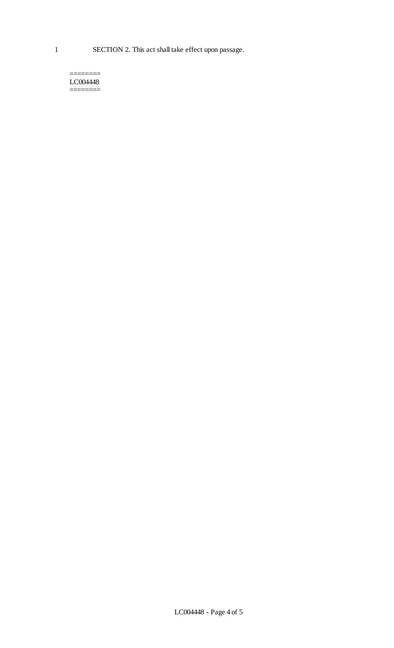======== LC004448 ========